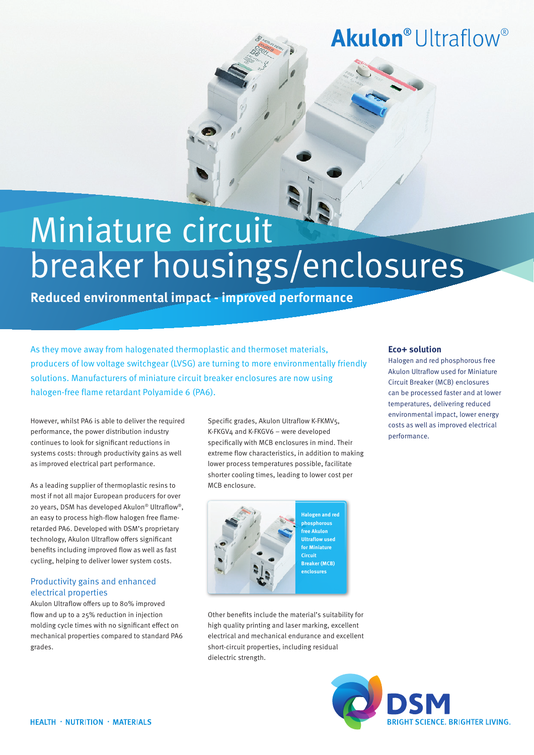## **Akulon**<sup>®</sup> Ultraflow<sup>®</sup>

# Miniature circuit breaker housings/enclosures

**Reduced environmental impact - improved performance**

As they move away from halogenated thermoplastic and thermoset materials, producers of low voltage switchgear (LVSG) are turning to more environmentally friendly solutions. Manufacturers of miniature circuit breaker enclosures are now using halogen-free flame retardant Polyamide 6 (PA6).

However, whilst PA6 is able to deliver the required performance, the power distribution industry continues to look for significant reductions in systems costs: through productivity gains as well as improved electrical part performance.

As a leading supplier of thermoplastic resins to most if not all major European producers for over 20 years, DSM has developed Akulon® Ultraflow®, an easy to process high-flow halogen free flameretarded PA6. Developed with DSM's proprietary technology, Akulon Ultraflow offers significant benefits including improved flow as well as fast cycling, helping to deliver lower system costs.

#### Productivity gains and enhanced electrical properties

Akulon Ultraflow offers up to 80% improved flow and up to a 25% reduction in injection molding cycle times with no significant effect on mechanical properties compared to standard PA6 grades.

Specific grades, Akulon Ultraflow K-FKMV5, K-FKGV4 and K-FKGV6 – were developed specifically with MCB enclosures in mind. Their extreme flow characteristics, in addition to making lower process temperatures possible, facilitate shorter cooling times, leading to lower cost per MCB enclosure.



Other benefits include the material's suitability for high quality printing and laser marking, excellent electrical and mechanical endurance and excellent short-circuit properties, including residual dielectric strength.

#### **Eco+ solution**

Halogen and red phosphorous free Akulon Ultraflow used for Miniature Circuit Breaker (MCB) enclosures can be processed faster and at lower temperatures, delivering reduced environmental impact, lower energy costs as well as improved electrical performance.